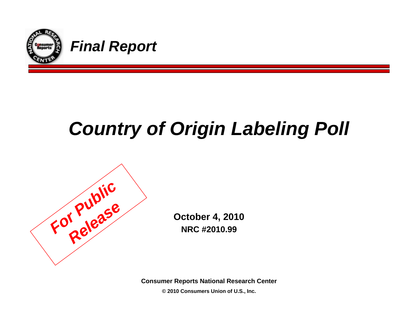

## *Country of Origin Labeling Poll*



**October 4, 2010 NRC #2010.99**

**Consumer Reports National Research Center**

**© 2010 Consumers Union of U.S., Inc.**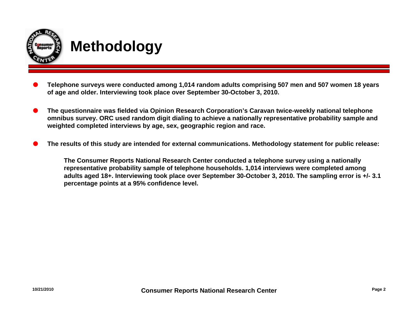

- O **Telephone surveys were conducted among 1,014 random adults comprising 507 men and 507 women 18 years of age and older. Interviewing took place over September 30-October 3, 2010.**
- O **The questionnaire was fielded via Opinion Research Corporation's Caravan twice-weekly national telephone omnibus survey. ORC used random digit dialing to achieve a nationally representative probability sample and weighted completed interviews by age, sex, geographic region and race.**
- O**The results of this study are intended for external communications. Methodology statement for public release:**

**The Consumer Reports National Research Center conducted a telephone survey using a nationally representative probability sample of telephone households. 1,014 interviews were completed among adults aged 18+. Interviewing took place over September 30-October 3, 2010. The sampling error is +/- 3.1 percentage points at a 95% confidence level.**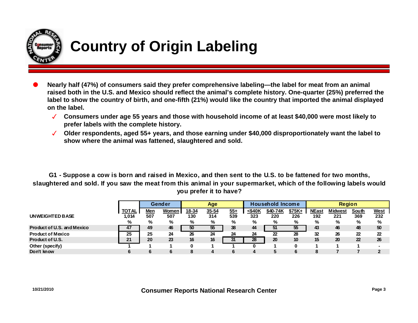

## **Country of Origin Labeling**

- O **Nearly half (47%) of consumers said they prefer comprehensive labeling—the label for meat from an animal raised both in the U.S. and Mexico should reflect the animal's complete history. One-quarter (25%) preferred the label to show the country of birth, and one-fifth (21%) would like the country that imported the animal displayed on the label.**
	- **Consumers under age 55 years and those with household income of at least \$40,000 were most likely to prefer labels with the complete history.**
	- **Older respondents, aged 55+ years, and those earning under \$40,000 disproportionately want the label to show where the animal was fattened, slaughtered and sold.**

**G1 - Suppose a cow is born and raised in Mexico, and then sent to the U.S. to be fattened for two months, slaughtered and sold. If you saw the meat from this animal in your supermarket, which of the following labels would you prefer it to have?**

|                            |                       | Gender     |                     | Age          |                  |              | <b>Household Income</b> |                 |                 | <b>Region</b>       |                       |              |                    |
|----------------------------|-----------------------|------------|---------------------|--------------|------------------|--------------|-------------------------|-----------------|-----------------|---------------------|-----------------------|--------------|--------------------|
| UNWEIGHTED BASE            | <b>TOTAL</b><br>1,014 | Men<br>507 | <b>Women</b><br>507 | 18-34<br>130 | $35 - 54$<br>314 | $55+$<br>539 | <\$40K<br>323           | \$40-74K<br>220 | $$75K +$<br>226 | <b>NEast</b><br>192 | <b>Midwest</b><br>221 | South<br>369 | <b>West</b><br>232 |
|                            | %                     | %          | %                   | %            | %                | %            | %                       | %               | %               | %                   | %                     | %            | %                  |
| Product of U.S. and Mexico | 47                    | 49         | 46                  | 50           | 55               | 38           | 44                      | 51              | 55              | 43                  | 46                    | 48           | 50                 |
| <b>Product of Mexico</b>   | 25                    | 25         | 24                  | 26           | 24               | 24           | 24                      | 22              | 28              | 32                  | 26                    | 22           | 22                 |
| Product of U.S.            | 21                    | 20         | 23                  | 16           | 16               | 31           | 28                      | 20              | 10              | 15                  | 20                    | 22           | 26                 |
| Other (specify)            |                       |            |                     |              |                  |              |                         |                 |                 |                     |                       |              |                    |
| Don't know                 | 6                     |            |                     |              |                  | 6            | 4                       |                 |                 |                     |                       |              | າ                  |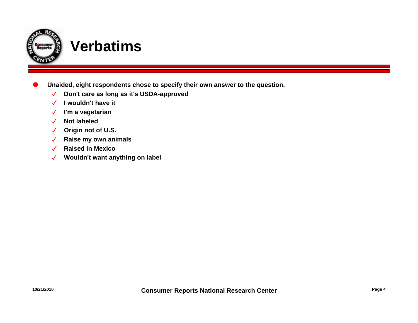

- O **Unaided, eight respondents chose to specify their own answer to the question.**
	- $\sqrt{2}$ **Don't care as long as it's USDA-approved**
	- **I wouldn't have it**
	- **I'm a vegetarian**
	- **Not labeled**
	- **Origin not of U.S.**
	- **Raise my own animals**
	- **Raised in Mexico**
	- **Wouldn't want anything on label**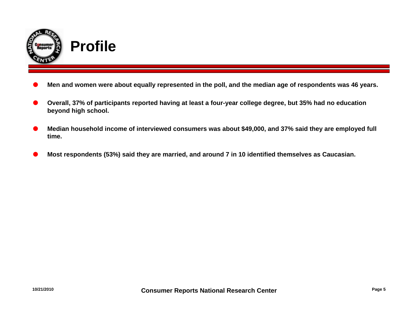

- O**Men and women were about equally represented in the poll, and the median age of respondents was 46 years.**
- O **Overall, 37% of participants reported having at least a four-year college degree, but 35% had no education beyond high school.**
- **Median household income of interviewed consumers was about \$49,000, and 37% said they are employed full time.**
- O**Most respondents (53%) said they are married, and around 7 in 10 identified themselves as Caucasian.**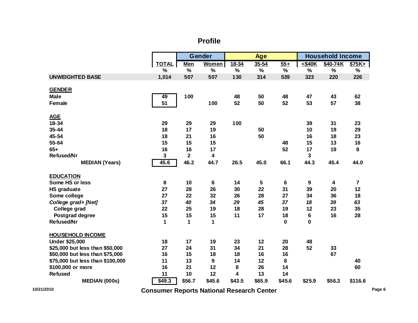## **Profile**

|                                  |               | Gender                  |        | <b>Age</b>    |           |          | <b>Household Income</b> |          |                |  |
|----------------------------------|---------------|-------------------------|--------|---------------|-----------|----------|-------------------------|----------|----------------|--|
|                                  | <b>TOTAL</b>  | <b>Men</b>              | Women  | $18 - 34$     | $35 - 54$ | $55+$    | $<$ \$40 $K$            | \$40-74K | $$75K +$       |  |
|                                  | $\frac{0}{0}$ | $\%$                    | %      | $\frac{0}{0}$ | $\%$      | $\%$     | $\frac{0}{0}$           | %        | $\%$           |  |
| <b>UNWEIGHTED BASE</b>           | 1,014         | 507                     | 507    | 130           | 314       | 539      | 323                     | 220      | 226            |  |
| <b>GENDER</b>                    |               |                         |        |               |           |          |                         |          |                |  |
| <b>Male</b>                      | 49            | 100                     |        | 48            | 50        | 48       | 47                      | 43       | 62             |  |
| <b>Female</b>                    | 51            |                         | 100    | 52            | 50        | 52       | 53                      | 57       | 38             |  |
| <b>AGE</b>                       |               |                         |        |               |           |          |                         |          |                |  |
| 18-34                            | 29            | 29                      | 29     | 100           |           |          | 39                      | 31       | 23             |  |
| 35-44                            | 18            | 17                      | 19     |               | 50        |          | 10                      | 19       | 29             |  |
| 45-54                            | 18            | 21                      | 16     |               | 50        |          | 16                      | 18       | 23             |  |
| 55-64                            | 15            | 15                      | 15     |               |           | 48       | 15                      | 13       | 16             |  |
| $65+$                            | 16            | 16                      | 17     |               |           | 52       | 17                      | 19       | 8              |  |
| <b>Refused/Nr</b>                | 3             | $\overline{\mathbf{2}}$ | 4      |               |           |          | 3                       |          |                |  |
| <b>MEDIAN (Years)</b>            | 45.6          | 46.2                    | 44.7   | 26.5          | 45.0      | 66.1     | 44.3                    | 45.4     | 44.0           |  |
| <b>EDUCATION</b>                 |               |                         |        |               |           |          |                         |          |                |  |
| Some HS or less                  | 8             | 10                      | 6      | 14            | 5         | 6        | 9                       | 4        | $\overline{7}$ |  |
| <b>HS</b> graduate               | 27            | 28                      | 26     | 30            | 22        | 31       | 39                      | 20       | 12             |  |
| Some college                     | 27            | 22                      | 32     | 26            | 28        | 27       | 34                      | 36       | 18             |  |
| College grad+ [Net]              | 37            | 40                      | 34     | 29            | 45        | 37       | 18                      | 39       | 63             |  |
| College grad                     | 22            | 25                      | 19     | 18            | 28        | 19       | 12                      | 23       | 35             |  |
| Postgrad degree                  | 15            | 15                      | 15     | 11            | 17        | 18       | 6                       | 16       | 28             |  |
| <b>Refused/Nr</b>                | 1             | 1                       | 1      |               |           | $\bf{0}$ | $\mathbf 0$             |          |                |  |
| <b>HOUSEHOLD INCOME</b>          |               |                         |        |               |           |          |                         |          |                |  |
| <b>Under \$25,000</b>            | 18            | 17                      | 19     | 23            | 12        | 20       | 48                      |          |                |  |
| \$25,000 but less than \$50,000  | 27            | 24                      | 31     | 34            | 21        | 28       | 52                      | 33       |                |  |
| \$50,000 but less than \$75,000  | 16            | 15                      | 18     | 18            | 16        | 16       |                         | 67       |                |  |
| \$75,000 but less than \$100,000 | 11            | 13                      | 9      | 14            | 12        | 8        |                         |          | 40             |  |
| \$100,000 or more                | 16            | 21                      | 12     | 8             | 26        | 14       |                         |          | 60             |  |
| <b>Refused</b>                   | 11            | 10                      | 12     | 4             | 13        | 14       |                         |          |                |  |
| <b>MEDIAN (000s)</b>             | \$49.3        | \$56.7                  | \$45.6 | \$43.5        | \$65.9    | \$45.6   | \$25.9                  | \$56.3   | \$116.6        |  |

**Consumer Reports National Research Center 10/21/2010 Page 6**